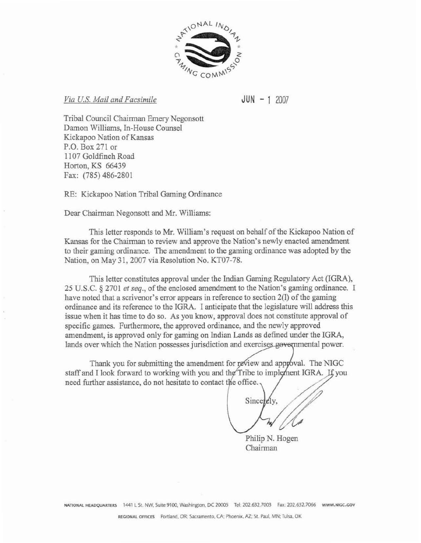

**Via** *U.5, Mail and Facsimile* 

 $JUN - 1 2007$ 

Tribal Council Chairman Emery Negonsott Damon Williams, In-House Counsel Kickapoe Nation of Kansas P.Q. **Box** 271 or **1 107** Goldfinch Road Horton, KS **66439 Fax: (785)** 486-2801

RE: **Kickapoo** Nation Tribal Gaming Ordinance

Dear Chairman Negonsott and **Mr.** Williams:

This letter responds to Mr. William's **request on** behalf of the **Kickapoo** Nation **of**  Kansas for **the** Chairman **to** review and **approve** the Nation's newly **enacted** mendmmt **to** their **gaming** ordinance. The amendment to the **gaming ordinance was** adopted by the Nation, on May 31, 2007 via Resolution No. KT07-78.

This letter constitutes approval under the Indian Gaming Regulatory Act *(IGRA)*, 25 **W.S.C.** *5* 2701 **et seq.,** of the endosed amendment **to** the Nation's gaming ordinance. I **have** noted that a scrivener's error **appears** in reference to section 20 of **the** gaming ordinance **and its** reference **to** the IGM. I anticipate that the legislature will address this issue when it **has** time **to** do **so. As** you **know, approval** does not constitute approval of specific games. Furthermore, the approved ordinance, and **the** newly approved amendment, is **approved** only for gaming **on Indian** Lands **as** defined under the IGRA, lands over which the Nation possesses jurisdiction and exercises governmental power.

Thank you for submitting the amendment for review and approval. The NIGC staff and I Iook forward to working with **you and**  need further assistance, do not hesitate **to** contact

Sincerely.

Philip N. Hogen Chairman

**NATlONAL HEADQUARTERS** <sup>1441</sup>t St NW. **Surte 9100. Washmgton,** DC **20005 Te1 202.632.7003 Fax 202 632.7066 WHMI.HIGC.GW**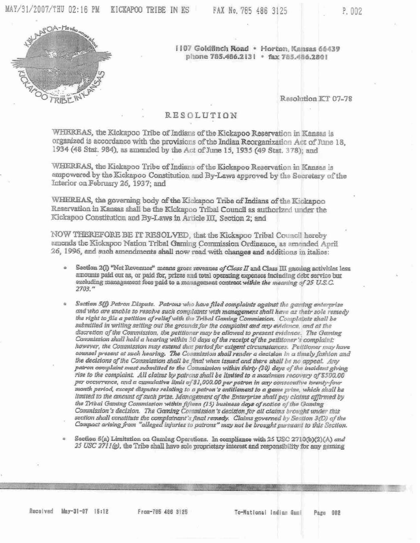

1107 Goldfinch Road · Horton, Kansas 66439 phone 785.486.2131 · fax 785.486.2801

Resolution KT 07-78

## **RESOLUTION**

WHEREAS, the Kickapoo Tribe of Indians of the Kickapoo Reservation in Kansas is organized is accordance with the provisions of the Indian Reorganization Act of June 18, 1934 (48 Stat. 984), as amended by the Act of June 15, 1935 (49 Stat. 378); and

WHEREAS, the Kickapoo Tribe of Indians of the Kickapoo Reservation in Kansas is empowered by the Kickapoo Constitution and By-Laws approved by the Secretary of the Interior on February 26, 1937; and

WHEREAS, the governing body of the Kickapoo Tribe of Indians of the Kickapoo Reservation in Kansas shall be the Kickapoo Tribal Council as authorized under the Kickapoo Constitution and By-Laws in Article III, Section 2; and

NOW THEREFORE BE IT RESOLVED, that the Kickapoo Tribal Council hereby amends the Kickapoo Nation Tribal Gaming Commission Ordinance, as amended April 26, 1996, and such amendments shall now read with changes and additions in italies:

- Section  $2(1)$  "Net Revenues" means gross revenues of Class II and Class III gaming activities legg amounts paid our as, or paid for, prizes and total operating expenses including debt service but excluding management fees paid to a management contract within the meaning of 25 U.S.C.  $2703$ ."
- Section 5(f) Patron Dispute. Patrons who have filed complaints against the gaming enterprise and who are unable to resolve such complaints with management shall have as their sole remedy the right to file a petition of relief with the Tribal Gaming Commission. Complaints shall be submitted in writing setting out the grounds for the complaint and any evidence, and at the discretion of the Commission, the petitioner may be allowed to present evidence. The Gaming Commission shall hold a hearing within 30 days of the receipt of the petitioner's complaint: however, the Commission may extend that period for exigent circumstances. Petitioner may have counsel present at such hearing. The Commission shall render a decision in a timely fashion and the decisions of the Commission shall be final when issued and there shall be no appeal. Any patron complaint must submitted to the Commission within thirty (30) days of the incident giving rise to the complaint. All claims by patrons shall be limited to a maximum recovery of \$500.00 per occurrence, and a cumulative limit of \$1,000.00 per patron in any consecutive twenty-four month period, except disputes relating to a patron's entitlement to a game prize, which shall be limited to the amount of such prize. Management of the Enterprise shall pay claims affirmed by the Tribal Gaming Commission within fifteen (15) business days of notice of the Gaming Commission's decision. The Gaming Commission's decision for all claims brought under this section shall constitute the complainant's final remedy. Claims governed by Section 3(D) of the Compact arising from "alleged injuries to patrons" may not be brought pursuant to this Section.

Section 5(a) Limitation on Gaming Operations. In compliance with 25 USC 2710(b)(2)(A) and 25 USC 2711(g), the Tribe shall have sole proprietary interest and responsibility for any gaming

Received May-31-07 15:12

From-785 486 3125

To-National Indian Gami Page 002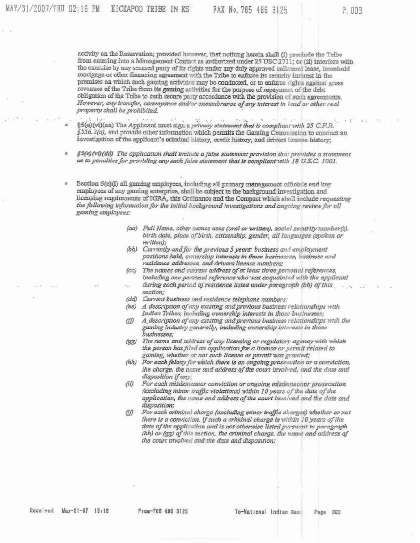activity on the Reservation; provided however, that nothing herein shall (i) preclude the Tribe from entering into a Management Contact as authorized under 25 USC 2711; or (ii) interfere with the exercise by any secured party of its rights under any duly approved collateral lease, leaschold mortgage or other financing agreement with the Tribe to enforce its security interest in the premises on which such gaming activities may be conducted, or to enforce rights against gross revenues of the Tribe from its gaming activities for the purpose of repayment of the debt obligation of the Tribe to such secure party accordance with the provision of such agreements. However, any transfer, conveyance and/or enoumbrance of any interest in land or other real property shall be prohibited.

2010/02/  $-27$ §5(e)(vi)(aa) The Applicant must sign a privacy statement that is compliant with 25 C.F.R. §556.2(a), and provide other information which permits the Gaming Commission to conduct an investigation of the applicant's criminal history, credit history, and drivers license history;

ö §5(e)(vt)(dd) The application shall include a false statement provision that provides a statement as to penalties for providing any such false statement that is compliant with 18 U.S.C. 1001.

Section 5(e)(l) all gaming employees, including all primary management officials and key employees of any gaming enterprise, shall be subject to the background investigation and licensing requirements of IGRA, this Ordinance and the Compact which shall include requesting the following information for the initial background investigations and angoing review for all gaming employees:

- (aa) Full Name, other names uses (oral or written), social security number(s), birth date, place of birth, citizenship, gender, all languages (spoken or written);
- (bb) Currently and for the previous 5 years: business and employment positions held, ownership interests in those businesses, business and rasidance addresses, and drivers license numbers;
- (cc) The names and current address of at least three personal references, including one personal reference who was acquainted with the applicant during each period of residence listed under paragraph (bb) of this section:
- (dd) Current business and residence telephone numbers;
- (ee) A description of any existing and previous business relationships with Indian Tribes, including ownership interests in those businesses;
- $CD$ A description of any existing and previous business relationships with the gaming industry generally, including ownership interests in those businesses;
- The name and address of any licensing or regulatory agency with which  $(gg)$ the person has filed an application for a license or permit related to gaming, whether or not such Ilcense or permit was granted;
- (hh) For each felony for which there is an ongoing prosecution or a conviction, the charge, the name and address of the court involved, and the date and disposition if any;
- $(31)$ For each misdemeanor conviction or ongoing misdemeanor prosecution (excluding minor traffic violations) within 10 years of the date of the application, the name and address of the court involved and the date and disposition;
- For each criminal charge (excluding minor traffic charges) whether or not (ii) there is a conviction, if such a criminal charge is within 10 years of the date of the application and is not otherwise listed pursuant to paragraph (hh) or (gg) of this section, the criminal charge, the name and address of the court involved and the date and disposition;

From-785 486 3125